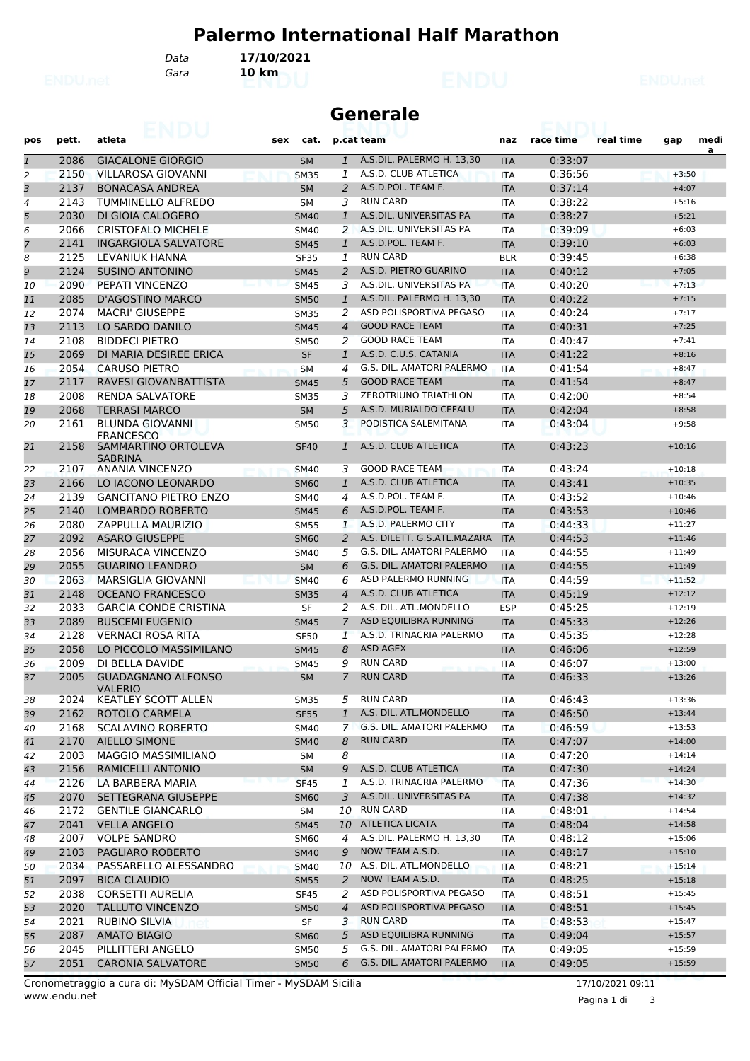## **Palermo International Half Marathon**

*Gara* **10 km**

*Data* **17/10/2021**

| <b>Generale</b><br>eannair |       |                                          |             |                            |                             |            |           |           |          |      |
|----------------------------|-------|------------------------------------------|-------------|----------------------------|-----------------------------|------------|-----------|-----------|----------|------|
| pos                        | pett. | atleta                                   | cat.<br>sex |                            | p.cat team                  | naz        | race time | real time | gap      | medi |
| $\mathbf{1}$               | 2086  | <b>GIACALONE GIORGIO</b>                 | <b>SM</b>   | $\mathbf{1}$               | A.S.DIL. PALERMO H. 13,30   | <b>ITA</b> | 0:33:07   |           |          | a    |
| 2                          | 2150  | VILLAROSA GIOVANNI                       | <b>SM35</b> | 1                          | A.S.D. CLUB ATLETICA        | <b>ITA</b> | 0:36:56   |           | $+3:50$  |      |
| 3                          | 2137  | <b>BONACASA ANDREA</b>                   | <b>SM</b>   | $\overline{2}$             | A.S.D.POL. TEAM F.          | <b>ITA</b> | 0:37:14   |           | $+4:07$  |      |
| 4                          | 2143  | TUMMINELLO ALFREDO                       | <b>SM</b>   | 3                          | <b>RUN CARD</b>             | <b>ITA</b> | 0:38:22   |           | $+5:16$  |      |
| 5                          | 2030  | DI GIOIA CALOGERO                        | <b>SM40</b> | $\mathbf{1}$               | A.S.DIL. UNIVERSITAS PA     | <b>ITA</b> | 0:38:27   |           | $+5:21$  |      |
| 6                          | 2066  | <b>CRISTOFALO MICHELE</b>                | <b>SM40</b> | $\overline{2}$             | A.S.DIL. UNIVERSITAS PA     | ITA        | 0:39:09   |           | $+6:03$  |      |
| $\overline{7}$             | 2141  | <b>INGARGIOLA SALVATORE</b>              | <b>SM45</b> | $\mathbf{1}$               | A.S.D.POL. TEAM F.          | <b>ITA</b> | 0:39:10   |           | $+6:03$  |      |
| 8                          | 2125  | LEVANIUK HANNA                           | <b>SF35</b> | 1                          | <b>RUN CARD</b>             | <b>BLR</b> | 0:39:45   |           | $+6:38$  |      |
| 9                          | 2124  | <b>SUSINO ANTONINO</b>                   | <b>SM45</b> | $\overline{2}$             | A.S.D. PIETRO GUARINO       | <b>ITA</b> | 0:40:12   |           | $+7:05$  |      |
| 10                         | 2090  | PEPATI VINCENZO                          | <b>SM45</b> | 3                          | A.S.DIL. UNIVERSITAS PA     | <b>ITA</b> | 0:40:20   |           | $+7:13$  |      |
| 11                         | 2085  | D'AGOSTINO MARCO                         | <b>SM50</b> | 1                          | A.S.DIL. PALERMO H. 13,30   | <b>ITA</b> | 0:40:22   |           | $+7:15$  |      |
| 12                         | 2074  | <b>MACRI' GIUSEPPE</b>                   | <b>SM35</b> | 2                          | ASD POLISPORTIVA PEGASO     | ITA        | 0:40:24   |           | $+7:17$  |      |
| 13                         | 2113  | LO SARDO DANILO                          | <b>SM45</b> | $\overline{4}$             | <b>GOOD RACE TEAM</b>       | <b>ITA</b> | 0:40:31   |           | $+7:25$  |      |
| 14                         | 2108  | <b>BIDDECI PIETRO</b>                    | <b>SM50</b> | 2                          | <b>GOOD RACE TEAM</b>       | <b>ITA</b> | 0:40:47   |           | $+7:41$  |      |
| 15                         | 2069  | DI MARIA DESIREE ERICA                   | <b>SF</b>   | $\mathbf{1}$               | A.S.D. C.U.S. CATANIA       | <b>ITA</b> | 0:41:22   |           | $+8:16$  |      |
| 16                         | 2054  | <b>CARUSO PIETRO</b>                     | <b>SM</b>   | 4                          | G.S. DIL. AMATORI PALERMO   | <b>ITA</b> | 0:41:54   |           | $+8:47$  |      |
| 17                         | 2117  | RAVESI GIOVANBATTISTA                    | <b>SM45</b> | 5                          | <b>GOOD RACE TEAM</b>       | <b>ITA</b> | 0:41:54   |           | $+8:47$  |      |
| 18                         | 2008  | <b>RENDA SALVATORE</b>                   | <b>SM35</b> | 3                          | ZEROTRIUNO TRIATHLON        | ITA        | 0:42:00   |           | $+8:54$  |      |
| 19                         | 2068  | <b>TERRASI MARCO</b>                     | <b>SM</b>   | 5                          | A.S.D. MURIALDO CEFALU      | <b>ITA</b> | 0:42:04   |           | $+8:58$  |      |
| 20                         | 2161  | <b>BLUNDA GIOVANNI</b>                   | <b>SM50</b> | 3                          | PODISTICA SALEMITANA        | <b>ITA</b> | 0:43:04   |           | $+9:58$  |      |
| 21                         | 2158  | <b>FRANCESCO</b><br>SAMMARTINO ORTOLEVA  | <b>SF40</b> | 1                          | A.S.D. CLUB ATLETICA        | <b>ITA</b> | 0:43:23   |           | $+10:16$ |      |
| 22                         | 2107  | <b>SABRINA</b><br><b>ANANIA VINCENZO</b> | <b>SM40</b> | 3                          | <b>GOOD RACE TEAM</b>       | <b>ITA</b> | 0:43:24   |           | $+10:18$ |      |
| 23                         | 2166  | LO IACONO LEONARDO                       | <b>SM60</b> | $\mathbf{1}$               | A.S.D. CLUB ATLETICA        | <b>ITA</b> | 0:43:41   |           | $+10:35$ |      |
| 24                         | 2139  | <b>GANCITANO PIETRO ENZO</b>             | <b>SM40</b> | $\overline{4}$             | A.S.D.POL. TEAM F.          | <b>ITA</b> | 0:43:52   |           | $+10:46$ |      |
| 25                         | 2140  | LOMBARDO ROBERTO                         | <b>SM45</b> | 6                          | A.S.D.POL. TEAM F.          | <b>ITA</b> | 0:43:53   |           | $+10:46$ |      |
| 26                         | 2080  | <b>ZAPPULLA MAURIZIO</b>                 | <b>SM55</b> | $\mathbf{1}$               | A.S.D. PALERMO CITY         | ITA        | 0:44:33   |           | $+11:27$ |      |
| 27                         | 2092  | <b>ASARO GIUSEPPE</b>                    | <b>SM60</b> | $\overline{2}$             | A.S. DILETT. G.S.ATL.MAZARA | <b>ITA</b> | 0:44:53   |           | $+11:46$ |      |
| 28                         | 2056  | MISURACA VINCENZO                        | <b>SM40</b> | 5                          | G.S. DIL. AMATORI PALERMO   | <b>ITA</b> | 0:44:55   |           | $+11:49$ |      |
| 29                         | 2055  | <b>GUARINO LEANDRO</b>                   | <b>SM</b>   | 6                          | G.S. DIL. AMATORI PALERMO   | <b>ITA</b> | 0:44:55   |           | $+11:49$ |      |
| 30                         | 2063  | MARSIGLIA GIOVANNI                       | <b>SM40</b> | 6                          | ASD PALERMO RUNNING         | <b>ITA</b> | 0:44:59   |           | $+11:52$ |      |
| 31                         | 2148  | <b>OCEANO FRANCESCO</b>                  | <b>SM35</b> | $\boldsymbol{\mathcal{A}}$ | A.S.D. CLUB ATLETICA        | <b>ITA</b> | 0:45:19   |           | $+12:12$ |      |
| 32                         | 2033  | <b>GARCIA CONDE CRISTINA</b>             | SF          | 2                          | A.S. DIL. ATL.MONDELLO      | <b>ESP</b> | 0:45:25   |           | $+12:19$ |      |
| 33                         | 2089  | <b>BUSCEMI EUGENIO</b>                   | <b>SM45</b> | $\overline{7}$             | ASD EQUILIBRA RUNNING       | <b>ITA</b> | 0:45:33   |           | $+12:26$ |      |
| 34                         | 2128  | <b>VERNACI ROSA RITA</b>                 | <b>SF50</b> | $\mathbf{1}$               | A.S.D. TRINACRIA PALERMO    | ITA        | 0:45:35   |           | $+12:28$ |      |
| 35                         | 2058  | LO PICCOLO MASSIMILANO                   | <b>SM45</b> | 8                          | <b>ASD AGEX</b>             | <b>ITA</b> | 0:46:06   |           | $+12:59$ |      |
| 36                         | 2009  | DI BELLA DAVIDE                          | <b>SM45</b> | 9                          | <b>RUN CARD</b>             | <b>ITA</b> | 0:46:07   |           | $+13:00$ |      |
| 37                         | 2005  | <b>GUADAGNANO ALFONSO</b>                | SM          | 7                          | <b>RUN CARD</b>             | <b>ITA</b> | 0:46:33   |           | $+13:26$ |      |
|                            |       | <b>VALERIO</b>                           |             |                            |                             |            |           |           |          |      |
| 38                         | 2024  | <b>KEATLEY SCOTT ALLEN</b>               | <b>SM35</b> | 5                          | <b>RUN CARD</b>             | ITA        | 0:46:43   |           | $+13:36$ |      |
| 39                         | 2162  | ROTOLO CARMELA                           | <b>SF55</b> | $\mathbf{1}$               | A.S. DIL. ATL.MONDELLO      | <b>ITA</b> | 0:46:50   |           | $+13:44$ |      |
| 40                         | 2168  | <b>SCALAVINO ROBERTO</b>                 | SM40        | $\mathcal{I}$              | G.S. DIL. AMATORI PALERMO   | ITA        | 0:46:59   |           | $+13:53$ |      |
| 41                         | 2170  | <b>AIELLO SIMONE</b>                     | <b>SM40</b> | 8                          | <b>RUN CARD</b>             | <b>ITA</b> | 0:47:07   |           | $+14:00$ |      |
| 42                         | 2003  | <b>MAGGIO MASSIMILIANO</b>               | SM          | 8                          |                             | ITA        | 0:47:20   |           | $+14:14$ |      |
| 43                         | 2156  | RAMICELLI ANTONIO                        | <b>SM</b>   | 9                          | A.S.D. CLUB ATLETICA        | <b>ITA</b> | 0:47:30   |           | $+14:24$ |      |
| 44                         | 2126  | LA BARBERA MARIA                         | <b>SF45</b> | 1                          | A.S.D. TRINACRIA PALERMO    | <b>ITA</b> | 0:47:36   |           | $+14:30$ |      |
| 45                         | 2070  | SETTEGRANA GIUSEPPE                      | <b>SM60</b> | $\overline{3}$             | A.S.DIL. UNIVERSITAS PA     | <b>ITA</b> | 0:47:38   |           | $+14:32$ |      |
| 46                         | 2172  | <b>GENTILE GIANCARLO</b>                 | SM          |                            | 10 RUN CARD                 | ITA        | 0:48:01   |           | $+14:54$ |      |
| 47                         | 2041  | <b>VELLA ANGELO</b>                      | <b>SM45</b> | 10                         | ATLETICA LICATA             | <b>ITA</b> | 0:48:04   |           | $+14:58$ |      |
| 48                         | 2007  | <b>VOLPE SANDRO</b>                      | SM60        | 4                          | A.S.DIL. PALERMO H. 13,30   | ITA        | 0:48:12   |           | $+15:06$ |      |
| 49                         | 2103  | PAGLIARO ROBERTO                         | <b>SM40</b> | 9                          | NOW TEAM A.S.D.             | <b>ITA</b> | 0:48:17   |           | $+15:10$ |      |
| 50                         | 2034  | PASSARELLO ALESSANDRO                    | <b>SM40</b> |                            | 10 A.S. DIL. ATL.MONDELLO   | ITA        | 0:48:21   |           | $+15:14$ |      |
| 51                         | 2097  | <b>BICA CLAUDIO</b>                      | <b>SM55</b> | $\overline{a}$             | NOW TEAM A.S.D.             | <b>ITA</b> | 0:48:25   |           | $+15:18$ |      |
| 52                         | 2038  | <b>CORSETTI AURELIA</b>                  | SF45        | 2                          | ASD POLISPORTIVA PEGASO     | ITA        | 0:48:51   |           | $+15:45$ |      |
| 53                         | 2020  | <b>TALLUTO VINCENZO</b>                  | <b>SM50</b> | $\overline{4}$             | ASD POLISPORTIVA PEGASO     | <b>ITA</b> | 0:48:51   |           | $+15:45$ |      |
| 54                         | 2021  | <b>RUBINO SILVIA</b>                     | SF          | 3                          | <b>RUN CARD</b>             | ITA        | 0:48:53   |           | $+15:47$ |      |
| 55                         | 2087  | <b>AMATO BIAGIO</b>                      | <b>SM60</b> | 5                          | ASD EQUILIBRA RUNNING       | <b>ITA</b> | 0:49:04   |           | $+15:57$ |      |
| 56                         | 2045  | PILLITTERI ANGELO                        | <b>SM50</b> | 5                          | G.S. DIL. AMATORI PALERMO   | ITA        | 0:49:05   |           | $+15:59$ |      |
| 57                         | 2051  | <b>CARONIA SALVATORE</b>                 | <b>SM50</b> | 6                          | G.S. DIL. AMATORI PALERMO   | <b>ITA</b> | 0:49:05   |           | $+15:59$ |      |

Pagina 1 di 3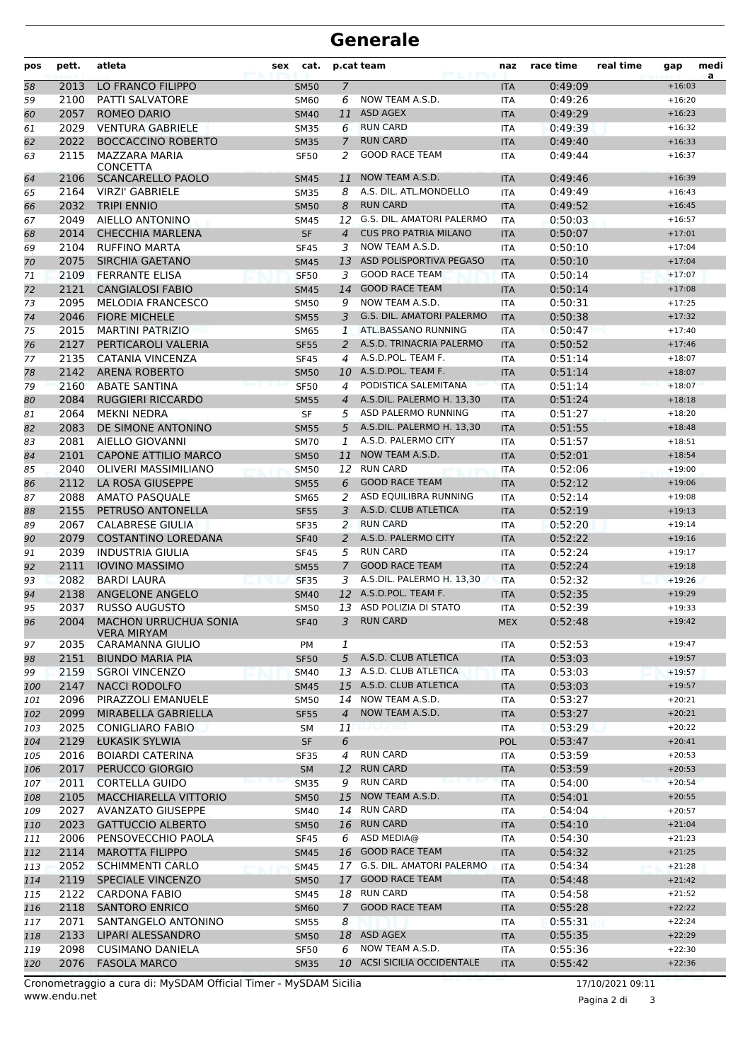## **Generale**

| pos        | pett.        | atleta                                                | sex | cat.                       |                | p.cat team                              | naz                      | race time          | real time | gap                  | medi<br>a |
|------------|--------------|-------------------------------------------------------|-----|----------------------------|----------------|-----------------------------------------|--------------------------|--------------------|-----------|----------------------|-----------|
| 58         | 2013         | LO FRANCO FILIPPO                                     |     | <b>SM50</b>                | $\overline{7}$ |                                         | <b>ITA</b>               | 0:49:09            |           | $+16:03$             |           |
| 59         | 2100         | <b>PATTI SALVATORE</b>                                |     | <b>SM60</b>                | 6              | NOW TEAM A.S.D.                         | ITA                      | 0:49:26            |           | $+16:20$             |           |
| 60         | 2057         | <b>ROMEO DARIO</b>                                    |     | <b>SM40</b>                | 11             | <b>ASD AGEX</b>                         | <b>ITA</b>               | 0:49:29            |           | $+16:23$             |           |
| 61         | 2029         | <b>VENTURA GABRIELE</b>                               |     | <b>SM35</b>                | 6              | <b>RUN CARD</b>                         | <b>ITA</b>               | 0:49:39            |           | $+16:32$             |           |
| 62         | 2022         | <b>BOCCACCINO ROBERTO</b>                             |     | <b>SM35</b>                | $\overline{7}$ | <b>RUN CARD</b>                         | <b>ITA</b>               | 0:49:40            |           | $+16:33$             |           |
| 63         | 2115         | MAZZARA MARIA<br><b>CONCETTA</b>                      |     | <b>SF50</b>                | 2              | <b>GOOD RACE TEAM</b>                   | ITA                      | 0:49:44            |           | $+16:37$             |           |
| 64         | 2106         | <b>SCANCARELLO PAOLO</b>                              |     | <b>SM45</b>                | 11             | NOW TEAM A.S.D.                         | <b>ITA</b>               | 0:49:46            |           | $+16:39$             |           |
| 65         | 2164         | <b>VIRZI' GABRIELE</b>                                |     | <b>SM35</b>                | 8              | A.S. DIL. ATL.MONDELLO                  | <b>ITA</b>               | 0:49:49            |           | $+16:43$             |           |
| 66         | 2032         | <b>TRIPI ENNIO</b>                                    |     | <b>SM50</b>                | 8              | <b>RUN CARD</b>                         | <b>ITA</b>               | 0:49:52            |           | $+16:45$             |           |
| 67         | 2049         | AIELLO ANTONINO                                       |     | <b>SM45</b>                | 12             | G.S. DIL. AMATORI PALERMO               | ITA                      | 0:50:03            |           | $+16:57$             |           |
| 68         | 2014         | <b>CHECCHIA MARLENA</b>                               |     | <b>SF</b>                  | $\overline{4}$ | <b>CUS PRO PATRIA MILANO</b>            | <b>ITA</b>               | 0:50:07            |           | $+17:01$             |           |
| 69         | 2104         | <b>RUFFINO MARTA</b>                                  |     | <b>SF45</b>                | 3              | NOW TEAM A.S.D.                         | <b>ITA</b>               | 0:50:10            |           | $+17:04$             |           |
| 70         | 2075         | SIRCHIA GAETANO                                       |     | <b>SM45</b>                | 13             | ASD POLISPORTIVA PEGASO                 | <b>ITA</b>               | 0:50:10            |           | $+17:04$             |           |
| 71         | 2109         | <b>FERRANTE ELISA</b>                                 |     | <b>SF50</b>                | 3              | <b>GOOD RACE TEAM</b>                   | <b>ITA</b>               | 0:50:14            |           | $+17:07$             |           |
| 72         | 2121         | <b>CANGIALOSI FABIO</b>                               |     | <b>SM45</b>                | 14             | <b>GOOD RACE TEAM</b>                   | <b>ITA</b>               | 0:50:14            |           | $+17:08$             |           |
| 73         | 2095         | <b>MELODIA FRANCESCO</b>                              |     | <b>SM50</b>                | 9              | NOW TEAM A.S.D.                         | <b>ITA</b>               | 0:50:31            |           | $+17:25$             |           |
| 74         | 2046         | <b>FIORE MICHELE</b>                                  |     | <b>SM55</b>                | 3              | G.S. DIL. AMATORI PALERMO               | <b>ITA</b>               | 0:50:38            |           | $+17:32$             |           |
| 75         | 2015         | <b>MARTINI PATRIZIO</b>                               |     | <b>SM65</b>                | $\mathbf{1}$   | ATL.BASSANO RUNNING                     | <b>ITA</b>               | 0:50:47            |           | $+17:40$             |           |
| 76         | 2127         | PERTICAROLI VALERIA                                   |     | <b>SF55</b>                | 2              | A.S.D. TRINACRIA PALERMO                | <b>ITA</b>               | 0:50:52            |           | $+17:46$             |           |
| 77         | 2135         | CATANIA VINCENZA                                      |     | <b>SF45</b>                | 4              | A.S.D.POL. TEAM F.                      | <b>ITA</b>               | 0:51:14            |           | $+18:07$             |           |
| 78         | 2142         | <b>ARENA ROBERTO</b>                                  |     | <b>SM50</b>                |                | 10 A.S.D.POL. TEAM F.                   | <b>ITA</b>               | 0:51:14            |           | $+18:07$             |           |
| 79         | 2160         | <b>ABATE SANTINA</b>                                  |     | <b>SF50</b>                | 4              | PODISTICA SALEMITANA                    | <b>ITA</b>               | 0:51:14            |           | $+18:07$             |           |
| 80         | 2084         | <b>RUGGIERI RICCARDO</b>                              |     | <b>SM55</b>                | $\overline{4}$ | A.S.DIL. PALERMO H. 13,30               | <b>ITA</b>               | 0:51:24            |           | $+18:18$             |           |
| 81         | 2064         | <b>MEKNI NEDRA</b>                                    |     | SF                         | 5.             | ASD PALERMO RUNNING                     | <b>ITA</b>               | 0:51:27            |           | $+18:20$             |           |
| 82         | 2083         | DE SIMONE ANTONINO                                    |     | <b>SM55</b>                | 5              | A.S.DIL. PALERMO H. 13,30               | <b>ITA</b>               | 0:51:55            |           | $+18:48$             |           |
| 83         | 2081         | AIELLO GIOVANNI                                       |     | <b>SM70</b>                | 1              | A.S.D. PALERMO CITY                     | <b>ITA</b>               | 0:51:57            |           | $+18:51$             |           |
| 84         | 2101         | <b>CAPONE ATTILIO MARCO</b>                           |     | <b>SM50</b>                | 11             | NOW TEAM A.S.D.                         | <b>ITA</b>               | 0:52:01            |           | $+18:54$             |           |
| 85         | 2040         | <b>OLIVERI MASSIMILIANO</b>                           |     | <b>SM50</b>                | 12             | <b>RUN CARD</b>                         | <b>ITA</b>               | 0:52:06            |           | $+19:00$             |           |
| 86         | 2112         | LA ROSA GIUSEPPE                                      |     | <b>SM55</b>                | 6              | <b>GOOD RACE TEAM</b>                   | <b>ITA</b>               | 0:52:12            |           | $+19:06$             |           |
| 87         | 2088         | <b>AMATO PASQUALE</b>                                 |     | <b>SM65</b>                | 2              | ASD EQUILIBRA RUNNING                   | <b>ITA</b>               | 0:52:14            |           | $+19:08$             |           |
| 88         | 2155         | PETRUSO ANTONELLA                                     |     | <b>SF55</b>                | 3              | A.S.D. CLUB ATLETICA<br><b>RUN CARD</b> | <b>ITA</b>               | 0:52:19            |           | $+19:13$             |           |
| 89         | 2067         | <b>CALABRESE GIULIA</b>                               |     | <b>SF35</b>                | 2<br>2         | A.S.D. PALERMO CITY                     | <b>ITA</b>               | 0:52:20<br>0:52:22 |           | $+19:14$<br>$+19:16$ |           |
| 90         | 2079<br>2039 | <b>COSTANTINO LOREDANA</b><br><b>INDUSTRIA GIULIA</b> |     | <b>SF40</b>                | 5              | <b>RUN CARD</b>                         | <b>ITA</b>               | 0:52:24            |           | $+19:17$             |           |
| 91<br>92   | 2111         | <b>IOVINO MASSIMO</b>                                 |     | <b>SF45</b><br><b>SM55</b> | $\overline{7}$ | <b>GOOD RACE TEAM</b>                   | <b>ITA</b><br><b>ITA</b> | 0:52:24            |           | $+19:18$             |           |
| 93         | 2082         | <b>BARDI LAURA</b>                                    |     | <b>SF35</b>                | 3              | A.S.DIL. PALERMO H. 13.30               | <b>ITA</b>               | 0:52:32            |           | $+19:26$             |           |
| 94         | 2138         | ANGELONE ANGELO                                       |     | <b>SM40</b>                |                | 12 A.S.D.POL. TEAM F.                   | <b>ITA</b>               | 0:52:35            |           | $+19:29$             |           |
| 95         | 2037         | <b>RUSSO AUGUSTO</b>                                  |     | <b>SM50</b>                |                | 13 ASD POLIZIA DI STATO                 | <b>ITA</b>               | 0:52:39            |           | $+19:33$             |           |
| 96         |              | 2004 MACHON URRUCHUA SONIA                            |     | <b>SF40</b>                |                | 3 RUN CARD                              | <b>MEX</b>               | 0:52:48            |           | $+19:42$             |           |
|            |              | <b>VERA MIRYAM</b>                                    |     |                            |                |                                         |                          |                    |           |                      |           |
| 97         | 2035         | <b>CARAMANNA GIULIO</b>                               |     | PM                         | 1              |                                         | ITA                      | 0:52:53            |           | $+19:47$             |           |
| 98         | 2151         | <b>BIUNDO MARIA PIA</b>                               |     | <b>SF50</b>                | 5              | A.S.D. CLUB ATLETICA                    | <b>ITA</b>               | 0:53:03            |           | $+19:57$             |           |
| 99         | 2159         | <b>SGROI VINCENZO</b>                                 |     | <b>SM40</b>                | 13             | A.S.D. CLUB ATLETICA                    | <b>ITA</b>               | 0:53:03            |           | $+19:57$             |           |
| 100        | 2147         | <b>NACCI RODOLFO</b>                                  |     | <b>SM45</b>                |                | 15 A.S.D. CLUB ATLETICA                 | <b>ITA</b>               | 0:53:03            |           | $+19:57$             |           |
| 101        | 2096         | PIRAZZOLI EMANUELE                                    |     | <b>SM50</b>                | 14             | NOW TEAM A.S.D.                         | ITA                      | 0:53:27            |           | $+20:21$             |           |
| 102        | 2099         | MIRABELLA GABRIELLA                                   |     | <b>SF55</b>                | $\overline{4}$ | NOW TEAM A.S.D.                         | <b>ITA</b>               | 0:53:27            |           | $+20:21$             |           |
| 103        | 2025         | CONIGLIARO FABIO                                      |     | SM                         | 11             | maner                                   | ITA                      | 0:53:29            |           | $+20:22$             |           |
| 104        | 2129         | ŁUKASIK SYLWIA                                        |     | <b>SF</b>                  | 6              |                                         | <b>POL</b>               | 0:53:47            |           | $+20:41$             |           |
| 105        | 2016         | <b>BOIARDI CATERINA</b>                               |     | SF35                       | 4              | <b>RUN CARD</b>                         | <b>ITA</b>               | 0:53:59            |           | $+20:53$             |           |
| 106        | 2017         | PERUCCO GIORGIO                                       |     | <b>SM</b>                  | 12             | <b>RUN CARD</b>                         | <b>ITA</b>               | 0:53:59            |           | $+20:53$             |           |
| 107        | 2011         | <b>CORTELLA GUIDO</b>                                 |     | <b>SM35</b>                | 9              | <b>RUN CARD</b>                         | <b>ITA</b>               | 0:54:00            |           | $+20:54$             |           |
| 108        | 2105         | MACCHIARELLA VITTORIO                                 |     | <b>SM50</b>                |                | 15 NOW TEAM A.S.D.<br>14 RUN CARD       | <b>ITA</b>               | 0:54:01            |           | $+20:55$<br>$+20:57$ |           |
| 109        | 2027<br>2023 | AVANZATO GIUSEPPE<br><b>GATTUCCIO ALBERTO</b>         |     | SM40                       | 16             | <b>RUN CARD</b>                         | ITA                      | 0:54:04<br>0:54:10 |           | $+21:04$             |           |
| 110        | 2006         | PENSOVECCHIO PAOLA                                    |     | <b>SM50</b>                | 6              | ASD MEDIA@                              | <b>ITA</b>               | 0:54:30            |           | $+21:23$             |           |
| 111<br>112 | 2114         | <b>MAROTTA FILIPPO</b>                                |     | SF45<br><b>SM45</b>        |                | 16 GOOD RACE TEAM                       | ITA<br><b>ITA</b>        | 0:54:32            |           | $+21:25$             |           |
| 113        | 2052         | <b>SCHIMMENTI CARLO</b>                               |     | <b>SM45</b>                |                | 17 G.S. DIL. AMATORI PALERMO            | <b>ITA</b>               | 0:54:34            |           | $+21:28$             |           |
| 114        | 2119         | SPECIALE VINCENZO                                     |     | <b>SM50</b>                |                | 17 GOOD RACE TEAM                       | <b>ITA</b>               | 0:54:48            |           | $+21:42$             |           |
| 115        | 2122         | <b>CARDONA FABIO</b>                                  |     | SM45                       |                | 18 RUN CARD                             | ITA                      | 0:54:58            |           | $+21:52$             |           |
| 116        | 2118         | <b>SANTORO ENRICO</b>                                 |     | <b>SM60</b>                | $\mathcal{I}$  | <b>GOOD RACE TEAM</b>                   | <b>ITA</b>               | 0:55:28            |           | $+22:22$             |           |
| 117        | 2071         | SANTANGELO ANTONINO                                   |     | <b>SM55</b>                | 8              |                                         | <b>ITA</b>               | 0:55:31            |           | $+22:24$             |           |
| 118        | 2133         | LIPARI ALESSANDRO                                     |     | <b>SM50</b>                |                | 18 ASD AGEX                             | <b>ITA</b>               | 0:55:35            |           | $+22:29$             |           |
| 119        | 2098         | <b>CUSIMANO DANIELA</b>                               |     | <b>SF50</b>                | 6              | NOW TEAM A.S.D.                         | ITA                      | 0:55:36            |           | $+22:30$             |           |
| 120        | 2076         | <b>FASOLA MARCO</b>                                   |     | <b>SM35</b>                |                | 10 ACSI SICILIA OCCIDENTALE             | <b>ITA</b>               | 0:55:42            |           | $+22:36$             |           |
|            |              |                                                       |     |                            |                |                                         |                          |                    |           |                      |           |